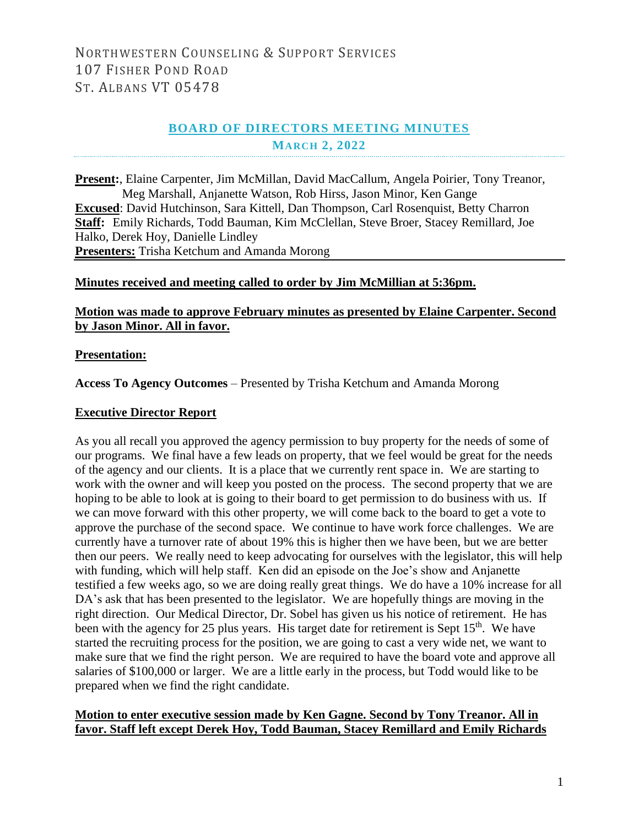## **BOARD OF DIRECTORS MEETING MINUTES MARCH 2, 2022**

**Present:**, Elaine Carpenter, Jim McMillan, David MacCallum, Angela Poirier, Tony Treanor, Meg Marshall, Anjanette Watson, Rob Hirss, Jason Minor, Ken Gange **Excused**: David Hutchinson, Sara Kittell, Dan Thompson, Carl Rosenquist, Betty Charron **Staff:** Emily Richards, Todd Bauman, Kim McClellan, Steve Broer, Stacey Remillard, Joe Halko, Derek Hoy, Danielle Lindley **Presenters:** Trisha Ketchum and Amanda Morong

#### **Minutes received and meeting called to order by Jim McMillian at 5:36pm.**

#### **Motion was made to approve February minutes as presented by Elaine Carpenter. Second by Jason Minor. All in favor.**

#### **Presentation:**

**Access To Agency Outcomes** – Presented by Trisha Ketchum and Amanda Morong

#### **Executive Director Report**

As you all recall you approved the agency permission to buy property for the needs of some of our programs. We final have a few leads on property, that we feel would be great for the needs of the agency and our clients. It is a place that we currently rent space in. We are starting to work with the owner and will keep you posted on the process. The second property that we are hoping to be able to look at is going to their board to get permission to do business with us. If we can move forward with this other property, we will come back to the board to get a vote to approve the purchase of the second space. We continue to have work force challenges. We are currently have a turnover rate of about 19% this is higher then we have been, but we are better then our peers. We really need to keep advocating for ourselves with the legislator, this will help with funding, which will help staff. Ken did an episode on the Joe's show and Anjanette testified a few weeks ago, so we are doing really great things. We do have a 10% increase for all DA's ask that has been presented to the legislator. We are hopefully things are moving in the right direction. Our Medical Director, Dr. Sobel has given us his notice of retirement. He has been with the agency for 25 plus years. His target date for retirement is Sept  $15<sup>th</sup>$ . We have started the recruiting process for the position, we are going to cast a very wide net, we want to make sure that we find the right person. We are required to have the board vote and approve all salaries of \$100,000 or larger. We are a little early in the process, but Todd would like to be prepared when we find the right candidate.

#### **Motion to enter executive session made by Ken Gagne. Second by Tony Treanor. All in favor. Staff left except Derek Hoy, Todd Bauman, Stacey Remillard and Emily Richards**